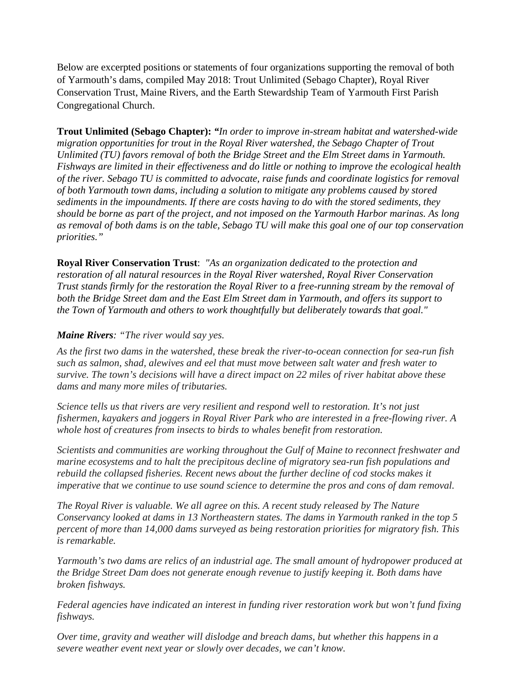Below are excerpted positions or statements of four organizations supporting the removal of both of Yarmouth's dams, compiled May 2018: Trout Unlimited (Sebago Chapter), Royal River Conservation Trust, Maine Rivers, and the Earth Stewardship Team of Yarmouth First Parish Congregational Church.

**Trout Unlimited (Sebago Chapter):** *"In order to improve in-stream habitat and watershed-wide migration opportunities for trout in the Royal River watershed, the Sebago Chapter of Trout Unlimited (TU) favors removal of both the Bridge Street and the Elm Street dams in Yarmouth. Fishways are limited in their effectiveness and do little or nothing to improve the ecological health of the river. Sebago TU is committed to advocate, raise funds and coordinate logistics for removal of both Yarmouth town dams, including a solution to mitigate any problems caused by stored sediments in the impoundments. If there are costs having to do with the stored sediments, they should be borne as part of the project, and not imposed on the Yarmouth Harbor marinas. As long as removal of both dams is on the table, Sebago TU will make this goal one of our top conservation priorities."*

**Royal River Conservation Trust**: *"As an organization dedicated to the protection and restoration of all natural resources in the Royal River watershed, Royal River Conservation Trust stands firmly for the restoration the Royal River to a free-running stream by the removal of both the Bridge Street dam and the East Elm Street dam in Yarmouth, and offers its support to the Town of Yarmouth and others to work thoughtfully but deliberately towards that goal."*

## *Maine Rivers: "The river would say yes.*

*As the first two dams in the watershed, these break the river-to-ocean connection for sea-run fish such as salmon, shad, alewives and eel that must move between salt water and fresh water to survive. The town's decisions will have a direct impact on 22 miles of river habitat above these dams and many more miles of tributaries.*

*Science tells us that rivers are very resilient and respond well to restoration. It's not just fishermen, kayakers and joggers in Royal River Park who are interested in a free-flowing river. A whole host of creatures from insects to birds to whales benefit from restoration.*

*Scientists and communities are working throughout the Gulf of Maine to reconnect freshwater and marine ecosystems and to halt the precipitous decline of migratory sea-run fish populations and rebuild the collapsed fisheries. Recent news about the further decline of cod stocks makes it imperative that we continue to use sound science to determine the pros and cons of dam removal.*

*The Royal River is valuable. We all agree on this. A recent study released by The Nature Conservancy looked at dams in 13 Northeastern states. The dams in Yarmouth ranked in the top 5 percent of more than 14,000 dams surveyed as being restoration priorities for migratory fish. This is remarkable.*

*Yarmouth's two dams are relics of an industrial age. The small amount of hydropower produced at the Bridge Street Dam does not generate enough revenue to justify keeping it. Both dams have broken fishways.*

*Federal agencies have indicated an interest in funding river restoration work but won't fund fixing fishways.*

*Over time, gravity and weather will dislodge and breach dams, but whether this happens in a severe weather event next year or slowly over decades, we can't know.*